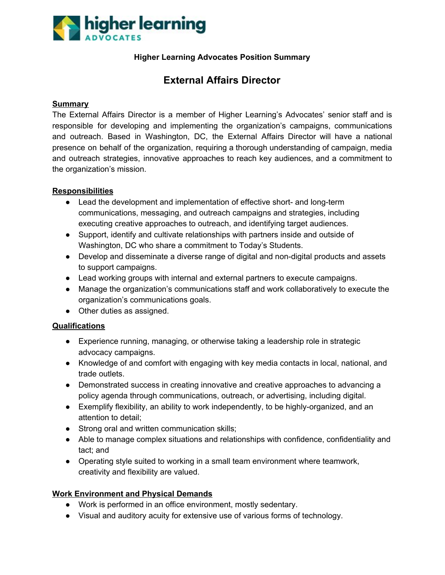

### **Higher Learning Advocates Position Summary**

# **External Affairs Director**

#### **Summary**

The External Affairs Director is a member of Higher Learning's Advocates' senior staff and is responsible for developing and implementing the organization's campaigns, communications and outreach. Based in Washington, DC, the External Affairs Director will have a national presence on behalf of the organization, requiring a thorough understanding of campaign, media and outreach strategies, innovative approaches to reach key audiences, and a commitment to the organization's mission.

#### **Responsibilities**

- Lead the development and implementation of effective short- and long-term communications, messaging, and outreach campaigns and strategies, including executing creative approaches to outreach, and identifying target audiences.
- Support, identify and cultivate relationships with partners inside and outside of Washington, DC who share a commitment to Today's Students.
- Develop and disseminate a diverse range of digital and non-digital products and assets to support campaigns.
- Lead working groups with internal and external partners to execute campaigns.
- Manage the organization's communications staff and work collaboratively to execute the organization's communications goals.
- Other duties as assigned.

#### **Qualifications**

- Experience running, managing, or otherwise taking a leadership role in strategic advocacy campaigns.
- Knowledge of and comfort with engaging with key media contacts in local, national, and trade outlets.
- Demonstrated success in creating innovative and creative approaches to advancing a policy agenda through communications, outreach, or advertising, including digital.
- Exemplify flexibility, an ability to work independently, to be highly-organized, and an attention to detail;
- Strong oral and written communication skills;
- Able to manage complex situations and relationships with confidence, confidentiality and tact; and
- Operating style suited to working in a small team environment where teamwork, creativity and flexibility are valued.

#### **Work Environment and Physical Demands**

- Work is performed in an office environment, mostly sedentary.
- Visual and auditory acuity for extensive use of various forms of technology.